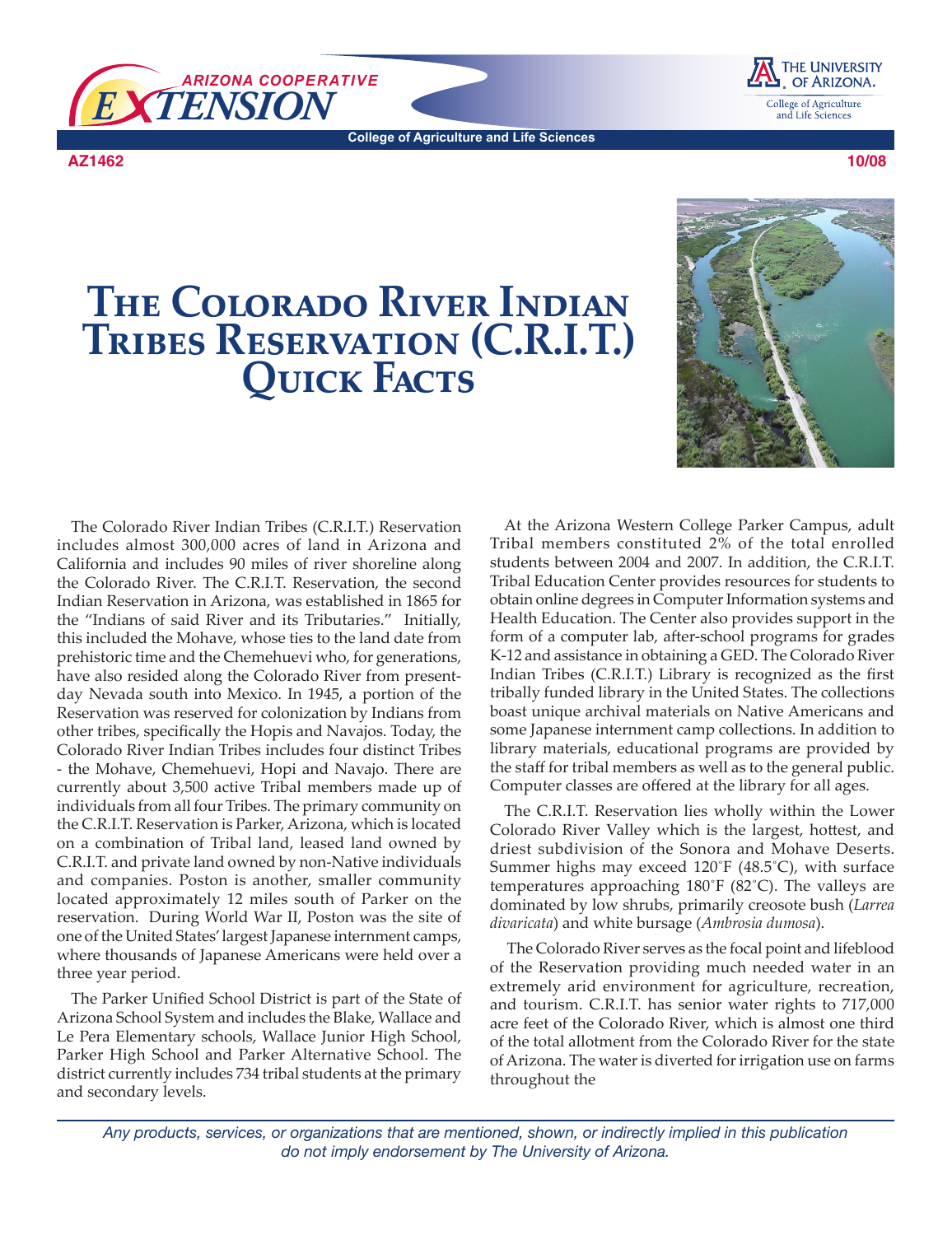

**College of Agriculture and Life Sciences**

**AZ1462**





The Colorado River Indian Tribes (C.R.I.T.) Reservation includes almost 300,000 acres of land in Arizona and California and includes 90 miles of river shoreline along the Colorado River. The C.R.I.T. Reservation, the second Indian Reservation in Arizona, was established in 1865 for the "Indians of said River and its Tributaries." Initially, this included the Mohave, whose ties to the land date from prehistoric time and the Chemehuevi who, for generations, have also resided along the Colorado River from presentday Nevada south into Mexico. In 1945, a portion of the Reservation was reserved for colonization by Indians from other tribes, specifically the Hopis and Navajos. Today, the Colorado River Indian Tribes includes four distinct Tribes - the Mohave, Chemehuevi, Hopi and Navajo. There are currently about 3,500 active Tribal members made up of individuals from all four Tribes. The primary community on the C.R.I.T. Reservation is Parker, Arizona, which is located on a combination of Tribal land, leased land owned by C.R.I.T. and private land owned by non-Native individuals and companies. Poston is another, smaller community located approximately 12 miles south of Parker on the reservation. During World War II, Poston was the site of one of the United States' largest Japanese internment camps, where thousands of Japanese Americans were held over a three year period.

The Parker Unified School District is part of the State of Arizona School System and includes the Blake, Wallace and Le Pera Elementary schools, Wallace Junior High School, Parker High School and Parker Alternative School. The district currently includes 734 tribal students at the primary and secondary levels.

At the Arizona Western College Parker Campus, adult Tribal members constituted 2% of the total enrolled students between 2004 and 2007. In addition, the C.R.I.T. Tribal Education Center provides resources for students to obtain online degrees in Computer Information systems and Health Education. The Center also provides support in the form of a computer lab, after-school programs for grades K-12 and assistance in obtaining a GED. The Colorado River Indian Tribes (C.R.I.T.) Library is recognized as the first tribally funded library in the United States. The collections boast unique archival materials on Native Americans and some Japanese internment camp collections. In addition to library materials, educational programs are provided by the staff for tribal members as well as to the general public. Computer classes are offered at the library for all ages.

The C.R.I.T. Reservation lies wholly within the Lower Colorado River Valley which is the largest, hottest, and driest subdivision of the Sonora and Mohave Deserts. Summer highs may exceed  $120\textdegree$  F (48.5 $\textdegree$ C), with surface temperatures approaching  $180^\circ$ F (82 $^\circ$ C). The valleys are dominated by low shrubs, primarily creosote bush (*Larrea divaricata*) and white bursage (*Ambrosia dumosa*).

 The Colorado River serves as the focal point and lifeblood of the Reservation providing much needed water in an extremely arid environment for agriculture, recreation, and tourism. C.R.I.T. has senior water rights to 717,000 acre feet of the Colorado River, which is almost one third of the total allotment from the Colorado River for the state of Arizona. The water is diverted for irrigation use on farms throughout the

*Any products, services, or organizations that are mentioned, shown, or indirectly implied in this publication do not imply endorsement by The University of Arizona.*

THE UNIVERSITY OF ARIZONA. College of Agriculture and Life Sciences